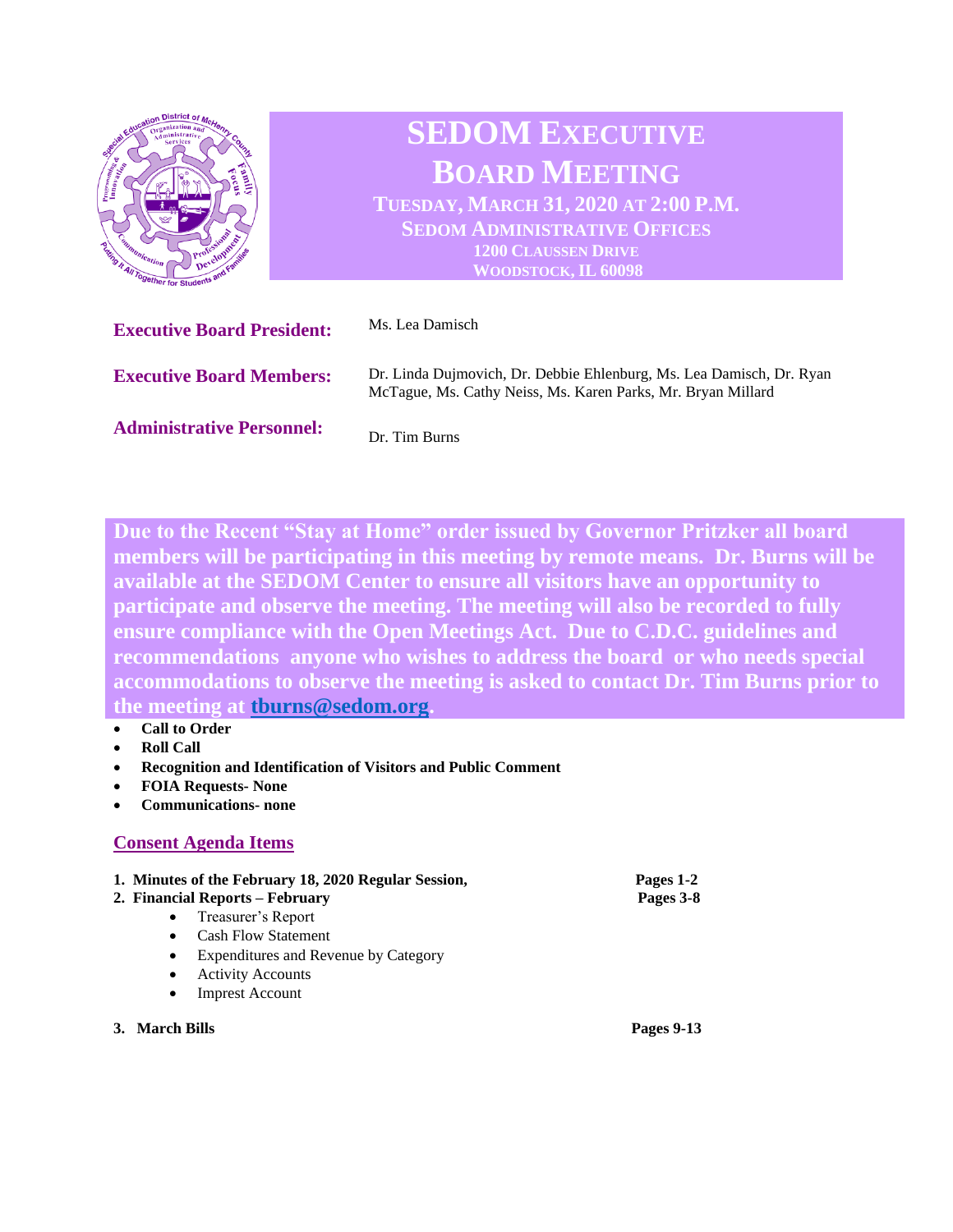

**Due to the Recent "Stay at Home" order issued by Governor Pritzker all board members will be participating in this meeting by remote means. Dr. Burns will be available at the SEDOM Center to ensure all visitors have an opportunity to participate and observe the meeting. The meeting will also be recorded to fully ensure compliance with the Open Meetings Act. Due to C.D.C. guidelines and recommendations anyone who wishes to address the board or who needs special accommodations to observe the meeting is asked to contact Dr. Tim Burns prior to the meeting at [tburns@sedom.org.](mailto:tburns@sedom.org)** 

- **Call to Order**
- **Roll Call**
- **Recognition and Identification of Visitors and Public Comment**
- **FOIA Requests- None**
- **Communications- none**

## **Consent Agenda Items**

|                | 1. Minutes of the February 18, 2020 Regular Session,<br>2. Financial Reports – February |                                      | Pages 1-2<br>Pages 3-8 |
|----------------|-----------------------------------------------------------------------------------------|--------------------------------------|------------------------|
|                | $\bullet$                                                                               | Treasurer's Report                   |                        |
|                | $\bullet$                                                                               | <b>Cash Flow Statement</b>           |                        |
|                | $\bullet$                                                                               | Expenditures and Revenue by Category |                        |
|                | $\bullet$                                                                               | <b>Activity Accounts</b>             |                        |
|                | $\bullet$                                                                               | <b>Imprest Account</b>               |                        |
| 3. March Bills |                                                                                         |                                      | Pages 9-13             |